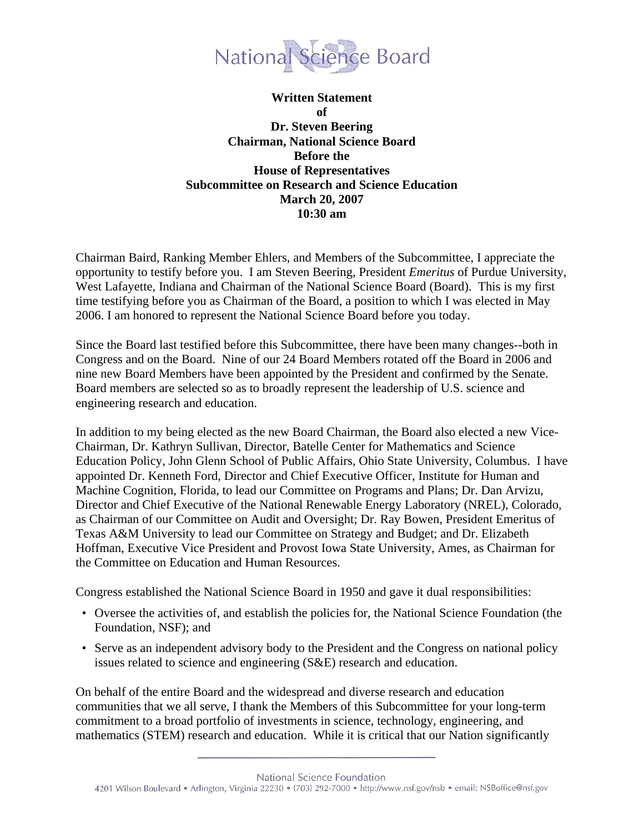

**Written Statement of Dr. Steven Beering Chairman, National Science Board Before the House of Representatives Subcommittee on Research and Science Education March 20, 2007 10:30 am** 

Chairman Baird, Ranking Member Ehlers, and Members of the Subcommittee, I appreciate the opportunity to testify before you. I am Steven Beering, President *Emeritus* of Purdue University, West Lafayette, Indiana and Chairman of the National Science Board (Board). This is my first time testifying before you as Chairman of the Board, a position to which I was elected in May 2006. I am honored to represent the National Science Board before you today.

Since the Board last testified before this Subcommittee, there have been many changes--both in Congress and on the Board. Nine of our 24 Board Members rotated off the Board in 2006 and nine new Board Members have been appointed by the President and confirmed by the Senate. Board members are selected so as to broadly represent the leadership of U.S. science and engineering research and education.

In addition to my being elected as the new Board Chairman, the Board also elected a new Vice-Chairman, Dr. Kathryn Sullivan, Director, Batelle Center for Mathematics and Science Education Policy, John Glenn School of Public Affairs, Ohio State University, Columbus. I have appointed Dr. Kenneth Ford, Director and Chief Executive Officer, Institute for Human and Machine Cognition, Florida, to lead our Committee on Programs and Plans; Dr. Dan Arvizu, Director and Chief Executive of the National Renewable Energy Laboratory (NREL), Colorado, as Chairman of our Committee on Audit and Oversight; Dr. Ray Bowen, President Emeritus of Texas A&M University to lead our Committee on Strategy and Budget; and Dr. Elizabeth Hoffman, Executive Vice President and Provost Iowa State University, Ames, as Chairman for the Committee on Education and Human Resources.

Congress established the National Science Board in 1950 and gave it dual responsibilities:

- Oversee the activities of, and establish the policies for, the National Science Foundation (the Foundation, NSF); and
- Serve as an independent advisory body to the President and the Congress on national policy issues related to science and engineering (S&E) research and education.

On behalf of the entire Board and the widespread and diverse research and education communities that we all serve, I thank the Members of this Subcommittee for your long-term commitment to a broad portfolio of investments in science, technology, engineering, and mathematics (STEM) research and education. While it is critical that our Nation significantly

National Science Foundation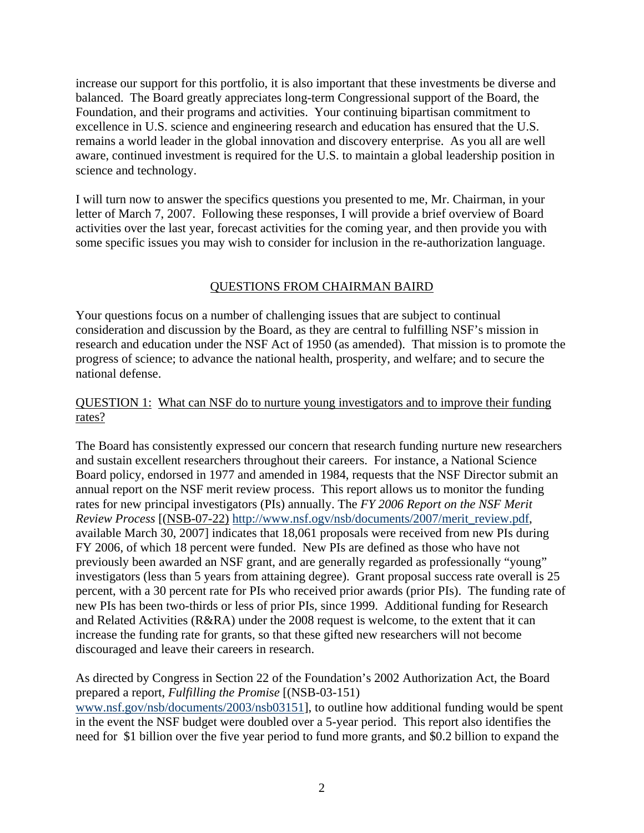increase our support for this portfolio, it is also important that these investments be diverse and balanced. The Board greatly appreciates long-term Congressional support of the Board, the Foundation, and their programs and activities. Your continuing bipartisan commitment to excellence in U.S. science and engineering research and education has ensured that the U.S. remains a world leader in the global innovation and discovery enterprise. As you all are well aware, continued investment is required for the U.S. to maintain a global leadership position in science and technology.

I will turn now to answer the specifics questions you presented to me, Mr. Chairman, in your letter of March 7, 2007. Following these responses, I will provide a brief overview of Board activities over the last year, forecast activities for the coming year, and then provide you with some specific issues you may wish to consider for inclusion in the re-authorization language.

# QUESTIONS FROM CHAIRMAN BAIRD

Your questions focus on a number of challenging issues that are subject to continual consideration and discussion by the Board, as they are central to fulfilling NSF's mission in research and education under the NSF Act of 1950 (as amended). That mission is to promote the progress of science; to advance the national health, prosperity, and welfare; and to secure the national defense.

# QUESTION 1: What can NSF do to nurture young investigators and to improve their funding rates?

The Board has consistently expressed our concern that research funding nurture new researchers and sustain excellent researchers throughout their careers. For instance, a National Science Board policy, endorsed in 1977 and amended in 1984, requests that the NSF Director submit an annual report on the NSF merit review process. This report allows us to monitor the funding rates for new principal investigators (PIs) annually. The *FY 2006 Report on the NSF Merit Review Process* [(NSB-07-22) http://www.nsf.ogv/nsb/documents/2007/merit\_review.pdf, available March 30, 2007] indicates that 18,061 proposals were received from new PIs during FY 2006, of which 18 percent were funded. New PIs are defined as those who have not previously been awarded an NSF grant, and are generally regarded as professionally "young" investigators (less than 5 years from attaining degree). Grant proposal success rate overall is 25 percent, with a 30 percent rate for PIs who received prior awards (prior PIs). The funding rate of new PIs has been two-thirds or less of prior PIs, since 1999. Additional funding for Research and Related Activities (R&RA) under the 2008 request is welcome, to the extent that it can increase the funding rate for grants, so that these gifted new researchers will not become discouraged and leave their careers in research.

As directed by Congress in Section 22 of the Foundation's 2002 Authorization Act, the Board prepared a report, *Fulfilling the Promise* [(NSB-03-151) www.nsf.gov/nsb/documents/2003/nsb03151], to outline how additional funding would be spent in the event the NSF budget were doubled over a 5-year period. This report also identifies the need for \$1 billion over the five year period to fund more grants, and \$0.2 billion to expand the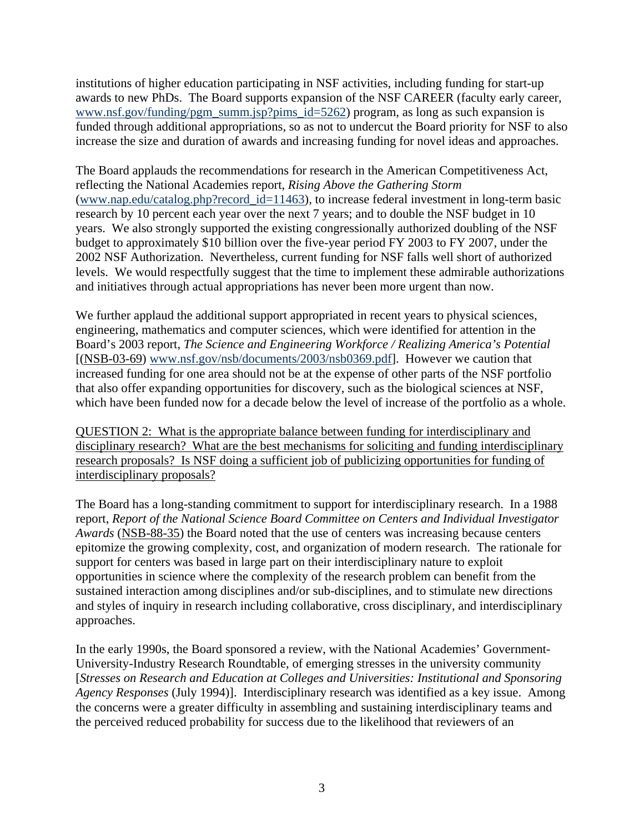institutions of higher education participating in NSF activities, including funding for start-up awards to new PhDs. The Board supports expansion of the NSF CAREER (faculty early career, www.nsf.gov/funding/pgm\_summ.jsp?pims\_id=5262) program, as long as such expansion is funded through additional appropriations, so as not to undercut the Board priority for NSF to also increase the size and duration of awards and increasing funding for novel ideas and approaches.

The Board applauds the recommendations for research in the American Competitiveness Act, reflecting the National Academies report, *Rising Above the Gathering Storm*  (www.nap.edu/catalog.php?record\_id=11463)*,* to increase federal investment in long-term basic research by 10 percent each year over the next 7 years; and to double the NSF budget in 10 years. We also strongly supported the existing congressionally authorized doubling of the NSF budget to approximately \$10 billion over the five-year period FY 2003 to FY 2007, under the 2002 NSF Authorization. Nevertheless, current funding for NSF falls well short of authorized levels. We would respectfully suggest that the time to implement these admirable authorizations and initiatives through actual appropriations has never been more urgent than now.

We further applaud the additional support appropriated in recent years to physical sciences, engineering, mathematics and computer sciences, which were identified for attention in the Board's 2003 report, *The Science and Engineering Workforce / Realizing America's Potential*  [(NSB-03-69) www.nsf.gov/nsb/documents/2003/nsb0369.pdf]. However we caution that increased funding for one area should not be at the expense of other parts of the NSF portfolio that also offer expanding opportunities for discovery, such as the biological sciences at NSF, which have been funded now for a decade below the level of increase of the portfolio as a whole.

QUESTION 2: What is the appropriate balance between funding for interdisciplinary and disciplinary research? What are the best mechanisms for soliciting and funding interdisciplinary research proposals? Is NSF doing a sufficient job of publicizing opportunities for funding of interdisciplinary proposals?

The Board has a long-standing commitment to support for interdisciplinary research. In a 1988 report, *Report of the National Science Board Committee on Centers and Individual Investigator Awards* (NSB-88-35) the Board noted that the use of centers was increasing because centers epitomize the growing complexity, cost, and organization of modern research. The rationale for support for centers was based in large part on their interdisciplinary nature to exploit opportunities in science where the complexity of the research problem can benefit from the sustained interaction among disciplines and/or sub-disciplines, and to stimulate new directions and styles of inquiry in research including collaborative, cross disciplinary, and interdisciplinary approaches.

In the early 1990s, the Board sponsored a review, with the National Academies' Government-University-Industry Research Roundtable, of emerging stresses in the university community [*Stresses on Research and Education at Colleges and Universities: Institutional and Sponsoring Agency Responses* (July 1994)]. Interdisciplinary research was identified as a key issue. Among the concerns were a greater difficulty in assembling and sustaining interdisciplinary teams and the perceived reduced probability for success due to the likelihood that reviewers of an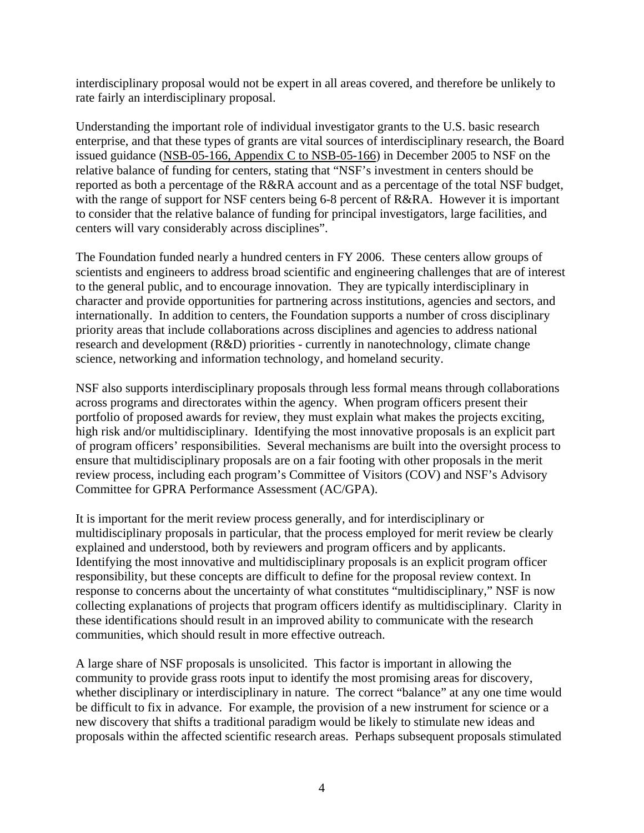interdisciplinary proposal would not be expert in all areas covered, and therefore be unlikely to rate fairly an interdisciplinary proposal.

Understanding the important role of individual investigator grants to the U.S. basic research enterprise, and that these types of grants are vital sources of interdisciplinary research, the Board issued guidance (NSB-05-166, Appendix C to NSB-05-166) in December 2005 to NSF on the relative balance of funding for centers, stating that "NSF's investment in centers should be reported as both a percentage of the R&RA account and as a percentage of the total NSF budget, with the range of support for NSF centers being 6-8 percent of R&RA. However it is important to consider that the relative balance of funding for principal investigators, large facilities, and centers will vary considerably across disciplines".

The Foundation funded nearly a hundred centers in FY 2006. These centers allow groups of scientists and engineers to address broad scientific and engineering challenges that are of interest to the general public, and to encourage innovation. They are typically interdisciplinary in character and provide opportunities for partnering across institutions, agencies and sectors, and internationally. In addition to centers, the Foundation supports a number of cross disciplinary priority areas that include collaborations across disciplines and agencies to address national research and development (R&D) priorities - currently in nanotechnology, climate change science, networking and information technology, and homeland security.

NSF also supports interdisciplinary proposals through less formal means through collaborations across programs and directorates within the agency. When program officers present their portfolio of proposed awards for review, they must explain what makes the projects exciting, high risk and/or multidisciplinary. Identifying the most innovative proposals is an explicit part of program officers' responsibilities. Several mechanisms are built into the oversight process to ensure that multidisciplinary proposals are on a fair footing with other proposals in the merit review process, including each program's Committee of Visitors (COV) and NSF's Advisory Committee for GPRA Performance Assessment (AC/GPA).

It is important for the merit review process generally, and for interdisciplinary or multidisciplinary proposals in particular, that the process employed for merit review be clearly explained and understood, both by reviewers and program officers and by applicants. Identifying the most innovative and multidisciplinary proposals is an explicit program officer responsibility, but these concepts are difficult to define for the proposal review context. In response to concerns about the uncertainty of what constitutes "multidisciplinary," NSF is now collecting explanations of projects that program officers identify as multidisciplinary. Clarity in these identifications should result in an improved ability to communicate with the research communities, which should result in more effective outreach.

A large share of NSF proposals is unsolicited. This factor is important in allowing the community to provide grass roots input to identify the most promising areas for discovery, whether disciplinary or interdisciplinary in nature. The correct "balance" at any one time would be difficult to fix in advance. For example, the provision of a new instrument for science or a new discovery that shifts a traditional paradigm would be likely to stimulate new ideas and proposals within the affected scientific research areas. Perhaps subsequent proposals stimulated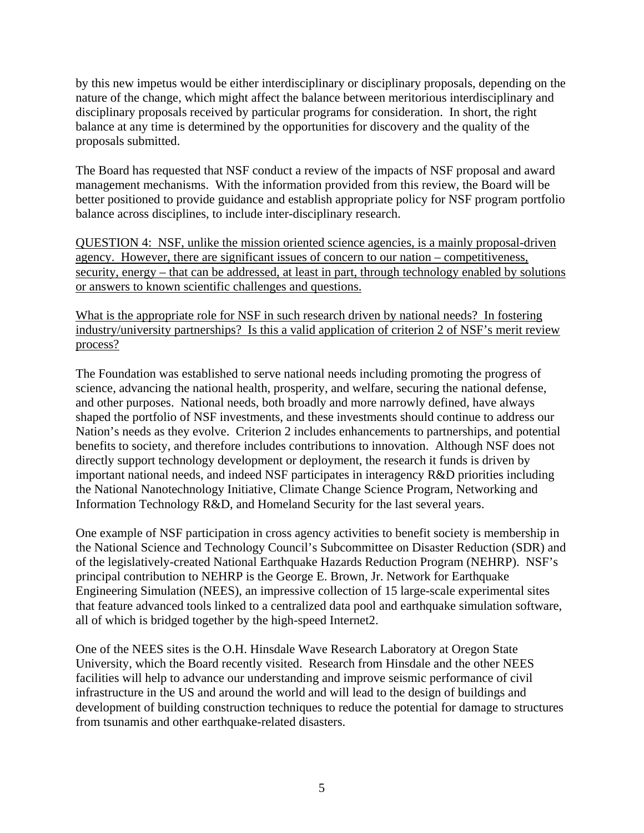by this new impetus would be either interdisciplinary or disciplinary proposals, depending on the nature of the change, which might affect the balance between meritorious interdisciplinary and disciplinary proposals received by particular programs for consideration. In short, the right balance at any time is determined by the opportunities for discovery and the quality of the proposals submitted.

The Board has requested that NSF conduct a review of the impacts of NSF proposal and award management mechanisms. With the information provided from this review, the Board will be better positioned to provide guidance and establish appropriate policy for NSF program portfolio balance across disciplines, to include inter-disciplinary research.

QUESTION 4: NSF, unlike the mission oriented science agencies, is a mainly proposal-driven agency. However, there are significant issues of concern to our nation – competitiveness, security, energy – that can be addressed, at least in part, through technology enabled by solutions or answers to known scientific challenges and questions.

What is the appropriate role for NSF in such research driven by national needs? In fostering industry/university partnerships? Is this a valid application of criterion 2 of NSF's merit review process?

The Foundation was established to serve national needs including promoting the progress of science, advancing the national health, prosperity, and welfare, securing the national defense, and other purposes. National needs, both broadly and more narrowly defined, have always shaped the portfolio of NSF investments, and these investments should continue to address our Nation's needs as they evolve. Criterion 2 includes enhancements to partnerships, and potential benefits to society, and therefore includes contributions to innovation. Although NSF does not directly support technology development or deployment, the research it funds is driven by important national needs, and indeed NSF participates in interagency R&D priorities including the National Nanotechnology Initiative, Climate Change Science Program, Networking and Information Technology R&D, and Homeland Security for the last several years.

One example of NSF participation in cross agency activities to benefit society is membership in the National Science and Technology Council's Subcommittee on Disaster Reduction (SDR) and of the legislatively-created National Earthquake Hazards Reduction Program (NEHRP). NSF's principal contribution to NEHRP is the George E. Brown, Jr. Network for Earthquake Engineering Simulation (NEES), an impressive collection of 15 large-scale experimental sites that feature advanced tools linked to a centralized data pool and earthquake simulation software, all of which is bridged together by the high-speed Internet2.

One of the NEES sites is the O.H. Hinsdale Wave Research Laboratory at Oregon State University, which the Board recently visited. Research from Hinsdale and the other NEES facilities will help to advance our understanding and improve seismic performance of civil infrastructure in the US and around the world and will lead to the design of buildings and development of building construction techniques to reduce the potential for damage to structures from tsunamis and other earthquake-related disasters.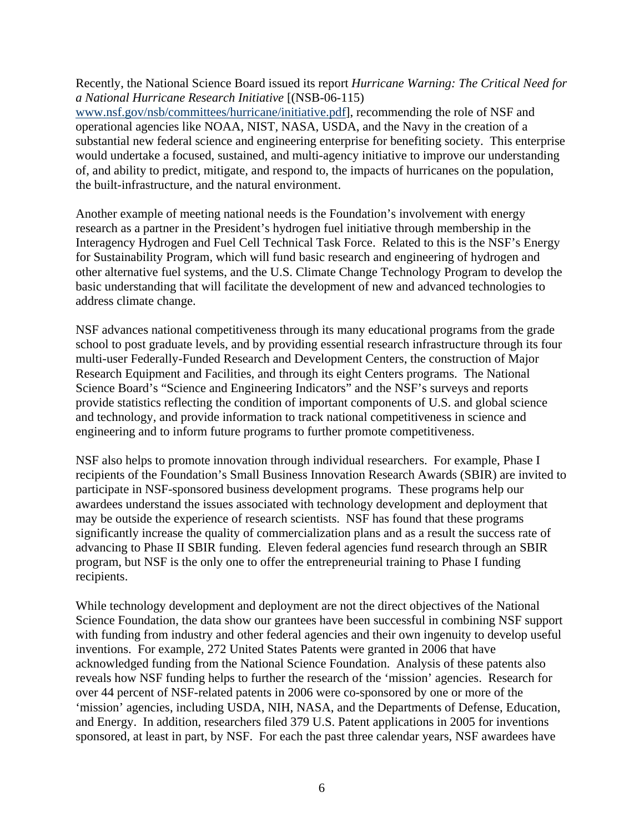Recently, the National Science Board issued its report *Hurricane Warning: The Critical Need for a National Hurricane Research Initiative* [(NSB-06-115)

www.nsf.gov/nsb/committees/hurricane/initiative.pdf], recommending the role of NSF and operational agencies like NOAA, NIST, NASA, USDA, and the Navy in the creation of a substantial new federal science and engineering enterprise for benefiting society. This enterprise would undertake a focused, sustained, and multi-agency initiative to improve our understanding of, and ability to predict, mitigate, and respond to, the impacts of hurricanes on the population, the built-infrastructure, and the natural environment.

Another example of meeting national needs is the Foundation's involvement with energy research as a partner in the President's hydrogen fuel initiative through membership in the Interagency Hydrogen and Fuel Cell Technical Task Force. Related to this is the NSF's Energy for Sustainability Program, which will fund basic research and engineering of hydrogen and other alternative fuel systems, and the U.S. Climate Change Technology Program to develop the basic understanding that will facilitate the development of new and advanced technologies to address climate change.

NSF advances national competitiveness through its many educational programs from the grade school to post graduate levels, and by providing essential research infrastructure through its four multi-user Federally-Funded Research and Development Centers, the construction of Major Research Equipment and Facilities, and through its eight Centers programs. The National Science Board's "Science and Engineering Indicators" and the NSF's surveys and reports provide statistics reflecting the condition of important components of U.S. and global science and technology, and provide information to track national competitiveness in science and engineering and to inform future programs to further promote competitiveness.

NSF also helps to promote innovation through individual researchers. For example, Phase I recipients of the Foundation's Small Business Innovation Research Awards (SBIR) are invited to participate in NSF-sponsored business development programs. These programs help our awardees understand the issues associated with technology development and deployment that may be outside the experience of research scientists. NSF has found that these programs significantly increase the quality of commercialization plans and as a result the success rate of advancing to Phase II SBIR funding. Eleven federal agencies fund research through an SBIR program, but NSF is the only one to offer the entrepreneurial training to Phase I funding recipients.

While technology development and deployment are not the direct objectives of the National Science Foundation, the data show our grantees have been successful in combining NSF support with funding from industry and other federal agencies and their own ingenuity to develop useful inventions. For example, 272 United States Patents were granted in 2006 that have acknowledged funding from the National Science Foundation. Analysis of these patents also reveals how NSF funding helps to further the research of the 'mission' agencies. Research for over 44 percent of NSF-related patents in 2006 were co-sponsored by one or more of the 'mission' agencies, including USDA, NIH, NASA, and the Departments of Defense, Education, and Energy. In addition, researchers filed 379 U.S. Patent applications in 2005 for inventions sponsored, at least in part, by NSF. For each the past three calendar years, NSF awardees have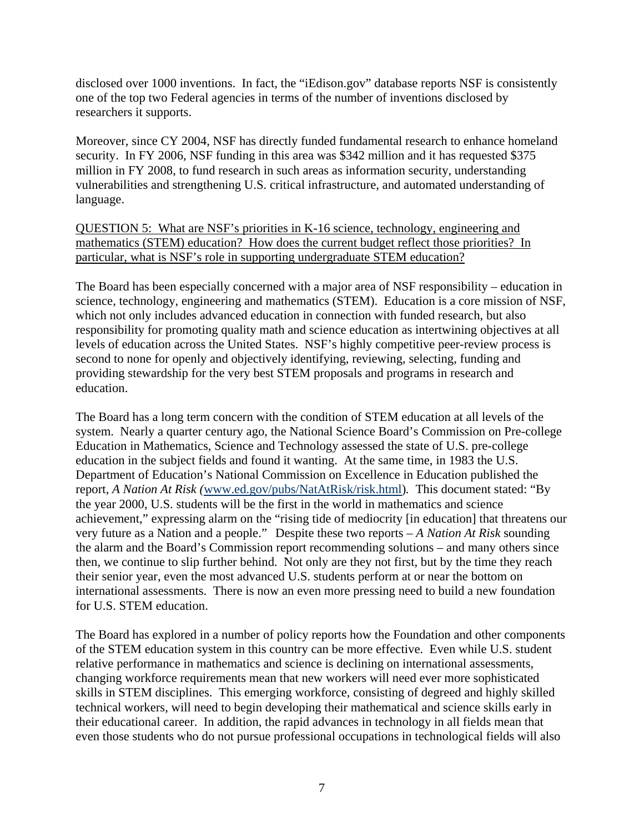disclosed over 1000 inventions. In fact, the "iEdison.gov" database reports NSF is consistently one of the top two Federal agencies in terms of the number of inventions disclosed by researchers it supports.

Moreover, since CY 2004, NSF has directly funded fundamental research to enhance homeland security. In FY 2006, NSF funding in this area was \$342 million and it has requested \$375 million in FY 2008, to fund research in such areas as information security, understanding vulnerabilities and strengthening U.S. critical infrastructure, and automated understanding of language.

QUESTION 5: What are NSF's priorities in K-16 science, technology, engineering and mathematics (STEM) education? How does the current budget reflect those priorities? In particular, what is NSF's role in supporting undergraduate STEM education?

The Board has been especially concerned with a major area of NSF responsibility – education in science, technology, engineering and mathematics (STEM). Education is a core mission of NSF, which not only includes advanced education in connection with funded research, but also responsibility for promoting quality math and science education as intertwining objectives at all levels of education across the United States. NSF's highly competitive peer-review process is second to none for openly and objectively identifying, reviewing, selecting, funding and providing stewardship for the very best STEM proposals and programs in research and education.

The Board has a long term concern with the condition of STEM education at all levels of the system. Nearly a quarter century ago, the National Science Board's Commission on Pre-college Education in Mathematics, Science and Technology assessed the state of U.S. pre-college education in the subject fields and found it wanting. At the same time, in 1983 the U.S. Department of Education's National Commission on Excellence in Education published the report, *A Nation At Risk (*www.ed.gov/pubs/NatAtRisk/risk.html)*.* This document stated: "By the year 2000, U.S. students will be the first in the world in mathematics and science achievement," expressing alarm on the "rising tide of mediocrity [in education] that threatens our very future as a Nation and a people." Despite these two reports – *A Nation At Risk* sounding the alarm and the Board's Commission report recommending solutions – and many others since then, we continue to slip further behind. Not only are they not first, but by the time they reach their senior year, even the most advanced U.S. students perform at or near the bottom on international assessments. There is now an even more pressing need to build a new foundation for U.S. STEM education.

The Board has explored in a number of policy reports how the Foundation and other components of the STEM education system in this country can be more effective. Even while U.S. student relative performance in mathematics and science is declining on international assessments, changing workforce requirements mean that new workers will need ever more sophisticated skills in STEM disciplines. This emerging workforce, consisting of degreed and highly skilled technical workers, will need to begin developing their mathematical and science skills early in their educational career. In addition, the rapid advances in technology in all fields mean that even those students who do not pursue professional occupations in technological fields will also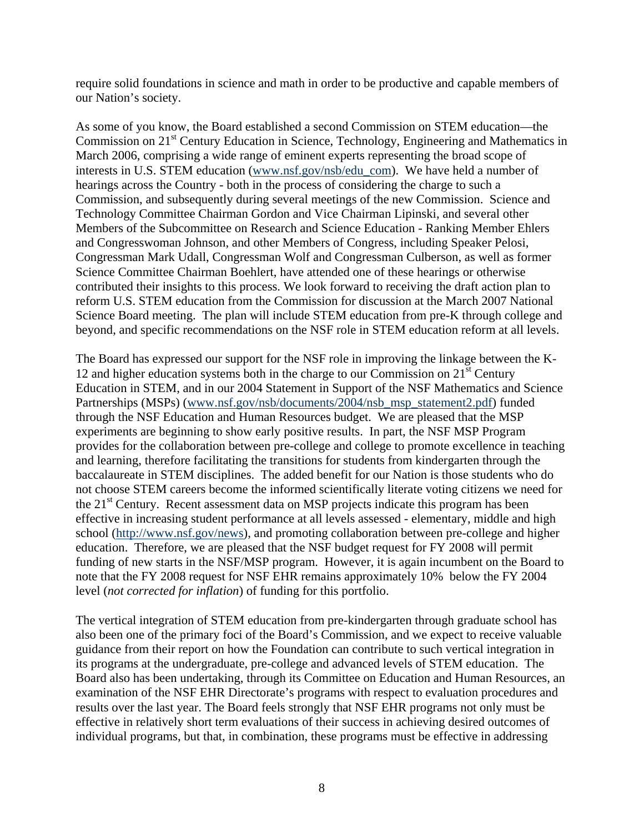require solid foundations in science and math in order to be productive and capable members of our Nation's society.

As some of you know, the Board established a second Commission on STEM education—the Commission on 21<sup>st</sup> Century Education in Science, Technology, Engineering and Mathematics in March 2006, comprising a wide range of eminent experts representing the broad scope of interests in U.S. STEM education (www.nsf.gov/nsb/edu\_com). We have held a number of hearings across the Country - both in the process of considering the charge to such a Commission, and subsequently during several meetings of the new Commission. Science and Technology Committee Chairman Gordon and Vice Chairman Lipinski, and several other Members of the Subcommittee on Research and Science Education - Ranking Member Ehlers and Congresswoman Johnson, and other Members of Congress, including Speaker Pelosi, Congressman Mark Udall, Congressman Wolf and Congressman Culberson, as well as former Science Committee Chairman Boehlert, have attended one of these hearings or otherwise contributed their insights to this process. We look forward to receiving the draft action plan to reform U.S. STEM education from the Commission for discussion at the March 2007 National Science Board meeting. The plan will include STEM education from pre-K through college and beyond, and specific recommendations on the NSF role in STEM education reform at all levels.

The Board has expressed our support for the NSF role in improving the linkage between the K-12 and higher education systems both in the charge to our Commission on  $21<sup>st</sup>$  Century Education in STEM, and in our 2004 Statement in Support of the NSF Mathematics and Science Partnerships (MSPs) (www.nsf.gov/nsb/documents/2004/nsb\_msp\_statement2.pdf) funded through the NSF Education and Human Resources budget. We are pleased that the MSP experiments are beginning to show early positive results. In part, the NSF MSP Program provides for the collaboration between pre-college and college to promote excellence in teaching and learning, therefore facilitating the transitions for students from kindergarten through the baccalaureate in STEM disciplines. The added benefit for our Nation is those students who do not choose STEM careers become the informed scientifically literate voting citizens we need for the 21<sup>st</sup> Century. Recent assessment data on MSP projects indicate this program has been effective in increasing student performance at all levels assessed - elementary, middle and high school (http://www.nsf.gov/news), and promoting collaboration between pre-college and higher education. Therefore, we are pleased that the NSF budget request for FY 2008 will permit funding of new starts in the NSF/MSP program. However, it is again incumbent on the Board to note that the FY 2008 request for NSF EHR remains approximately 10% below the FY 2004 level (*not corrected for inflation*) of funding for this portfolio.

The vertical integration of STEM education from pre-kindergarten through graduate school has also been one of the primary foci of the Board's Commission, and we expect to receive valuable guidance from their report on how the Foundation can contribute to such vertical integration in its programs at the undergraduate, pre-college and advanced levels of STEM education. The Board also has been undertaking, through its Committee on Education and Human Resources, an examination of the NSF EHR Directorate's programs with respect to evaluation procedures and results over the last year. The Board feels strongly that NSF EHR programs not only must be effective in relatively short term evaluations of their success in achieving desired outcomes of individual programs, but that, in combination, these programs must be effective in addressing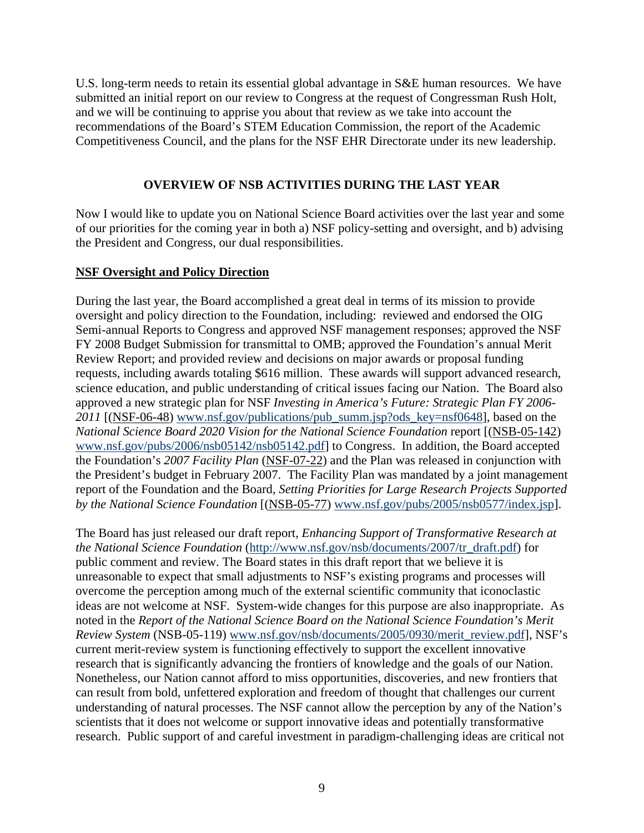U.S. long-term needs to retain its essential global advantage in S&E human resources. We have submitted an initial report on our review to Congress at the request of Congressman Rush Holt, and we will be continuing to apprise you about that review as we take into account the recommendations of the Board's STEM Education Commission, the report of the Academic Competitiveness Council, and the plans for the NSF EHR Directorate under its new leadership.

## **OVERVIEW OF NSB ACTIVITIES DURING THE LAST YEAR**

Now I would like to update you on National Science Board activities over the last year and some of our priorities for the coming year in both a) NSF policy-setting and oversight, and b) advising the President and Congress, our dual responsibilities.

## **NSF Oversight and Policy Direction**

During the last year, the Board accomplished a great deal in terms of its mission to provide oversight and policy direction to the Foundation, including: reviewed and endorsed the OIG Semi-annual Reports to Congress and approved NSF management responses; approved the NSF FY 2008 Budget Submission for transmittal to OMB; approved the Foundation's annual Merit Review Report; and provided review and decisions on major awards or proposal funding requests, including awards totaling \$616 million. These awards will support advanced research, science education, and public understanding of critical issues facing our Nation. The Board also approved a new strategic plan for NSF *Investing in America's Future: Strategic Plan FY 2006-* 2011 [(NSF-06-48) www.nsf.gov/publications/pub\_summ.jsp?ods\_key=nsf0648], based on the *National Science Board 2020 Vision for the National Science Foundation* report [(NSB-05-142) www.nsf.gov/pubs/2006/nsb05142/nsb05142.pdf] to Congress. In addition, the Board accepted the Foundation's *2007 Facility Plan* (NSF-07-22) and the Plan was released in conjunction with the President's budget in February 2007. The Facility Plan was mandated by a joint management report of the Foundation and the Board, *Setting Priorities for Large Research Projects Supported by the National Science Foundation* [(NSB-05-77) www.nsf.gov/pubs/2005/nsb0577/index.jsp].

The Board has just released our draft report, *Enhancing Support of Transformative Research at the National Science Foundation* (http://www.nsf.gov/nsb/documents/2007/tr\_draft.pdf) for public comment and review. The Board states in this draft report that we believe it is unreasonable to expect that small adjustments to NSF's existing programs and processes will overcome the perception among much of the external scientific community that iconoclastic ideas are not welcome at NSF. System-wide changes for this purpose are also inappropriate. As noted in the *Report of the National Science Board on the National Science Foundation's Merit Review System* (NSB-05-119) www.nsf.gov/nsb/documents/2005/0930/merit\_review.pdf], NSF's current merit-review system is functioning effectively to support the excellent innovative research that is significantly advancing the frontiers of knowledge and the goals of our Nation. Nonetheless, our Nation cannot afford to miss opportunities, discoveries, and new frontiers that can result from bold, unfettered exploration and freedom of thought that challenges our current understanding of natural processes. The NSF cannot allow the perception by any of the Nation's scientists that it does not welcome or support innovative ideas and potentially transformative research. Public support of and careful investment in paradigm-challenging ideas are critical not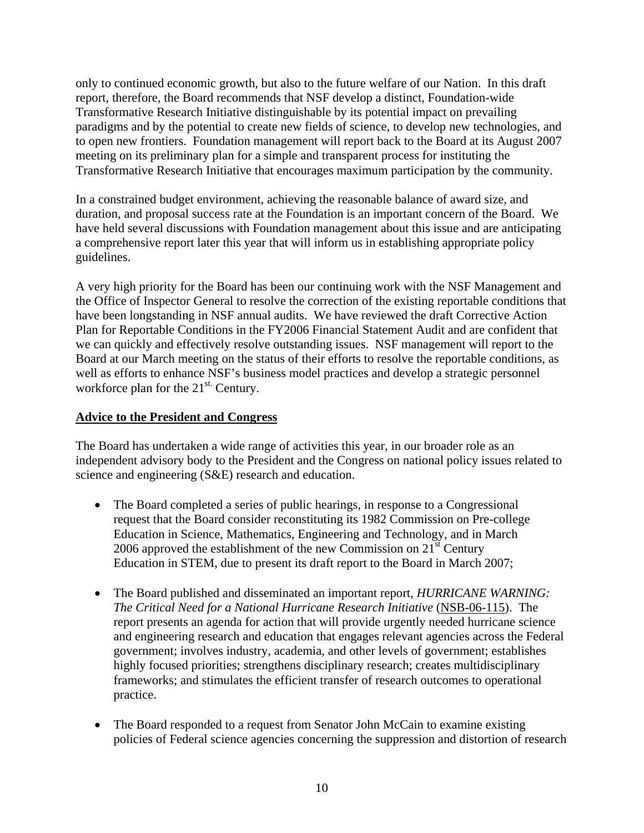only to continued economic growth, but also to the future welfare of our Nation. In this draft report, therefore, the Board recommends that NSF develop a distinct, Foundation-wide Transformative Research Initiative distinguishable by its potential impact on prevailing paradigms and by the potential to create new fields of science, to develop new technologies, and to open new frontiers. Foundation management will report back to the Board at its August 2007 meeting on its preliminary plan for a simple and transparent process for instituting the Transformative Research Initiative that encourages maximum participation by the community.

In a constrained budget environment, achieving the reasonable balance of award size, and duration, and proposal success rate at the Foundation is an important concern of the Board. We have held several discussions with Foundation management about this issue and are anticipating a comprehensive report later this year that will inform us in establishing appropriate policy guidelines.

A very high priority for the Board has been our continuing work with the NSF Management and the Office of Inspector General to resolve the correction of the existing reportable conditions that have been longstanding in NSF annual audits. We have reviewed the draft Corrective Action Plan for Reportable Conditions in the FY2006 Financial Statement Audit and are confident that we can quickly and effectively resolve outstanding issues. NSF management will report to the Board at our March meeting on the status of their efforts to resolve the reportable conditions, as well as efforts to enhance NSF's business model practices and develop a strategic personnel workforce plan for the  $21^{st}$ . Century.

# **Advice to the President and Congress**

The Board has undertaken a wide range of activities this year, in our broader role as an independent advisory body to the President and the Congress on national policy issues related to science and engineering (S&E) research and education.

- The Board completed a series of public hearings, in response to a Congressional request that the Board consider reconstituting its 1982 Commission on Pre-college Education in Science, Mathematics, Engineering and Technology, and in March 2006 approved the establishment of the new Commission on  $21<sup>st</sup>$  Century Education in STEM, due to present its draft report to the Board in March 2007;
- The Board published and disseminated an important report, *HURRICANE WARNING: The Critical Need for a National Hurricane Research Initiative* (NSB-06-115). The report presents an agenda for action that will provide urgently needed hurricane science and engineering research and education that engages relevant agencies across the Federal government; involves industry, academia, and other levels of government; establishes highly focused priorities; strengthens disciplinary research; creates multidisciplinary frameworks; and stimulates the efficient transfer of research outcomes to operational practice.
- The Board responded to a request from Senator John McCain to examine existing policies of Federal science agencies concerning the suppression and distortion of research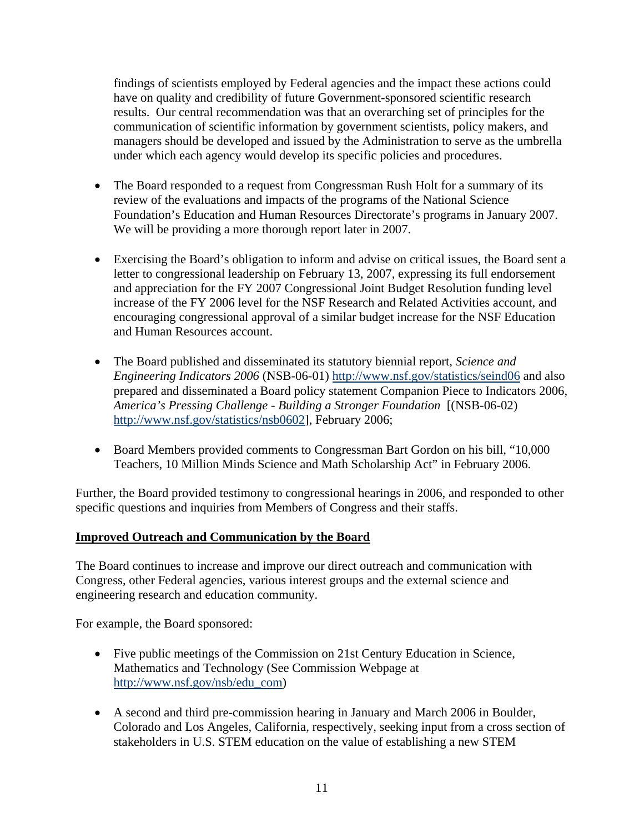findings of scientists employed by Federal agencies and the impact these actions could have on quality and credibility of future Government-sponsored scientific research results. Our central recommendation was that an overarching set of principles for the communication of scientific information by government scientists, policy makers, and managers should be developed and issued by the Administration to serve as the umbrella under which each agency would develop its specific policies and procedures.

- The Board responded to a request from Congressman Rush Holt for a summary of its review of the evaluations and impacts of the programs of the National Science Foundation's Education and Human Resources Directorate's programs in January 2007. We will be providing a more thorough report later in 2007.
- Exercising the Board's obligation to inform and advise on critical issues, the Board sent a letter to congressional leadership on February 13, 2007, expressing its full endorsement and appreciation for the FY 2007 Congressional Joint Budget Resolution funding level increase of the FY 2006 level for the NSF Research and Related Activities account, and encouraging congressional approval of a similar budget increase for the NSF Education and Human Resources account.
- The Board published and disseminated its statutory biennial report, *Science and Engineering Indicators 2006* (NSB-06-01) http://www.nsf.gov/statistics/seind06 and also prepared and disseminated a Board policy statement Companion Piece to Indicators 2006, *America's Pressing Challenge - Building a Stronger Foundation* [(NSB-06-02) http://www.nsf.gov/statistics/nsb0602], February 2006;
- Board Members provided comments to Congressman Bart Gordon on his bill, "10,000 Teachers, 10 Million Minds Science and Math Scholarship Act" in February 2006.

Further, the Board provided testimony to congressional hearings in 2006, and responded to other specific questions and inquiries from Members of Congress and their staffs.

# **Improved Outreach and Communication by the Board**

The Board continues to increase and improve our direct outreach and communication with Congress, other Federal agencies, various interest groups and the external science and engineering research and education community.

For example, the Board sponsored:

- Five public meetings of the Commission on 21st Century Education in Science, Mathematics and Technology (See Commission Webpage at [http://www.nsf.gov/nsb/edu\\_com\)](http://www.nsf.gov/nsb/edu_com))
- A second and third pre-commission hearing in January and March 2006 in Boulder, Colorado and Los Angeles, California, respectively, seeking input from a cross section of stakeholders in U.S. STEM education on the value of establishing a new STEM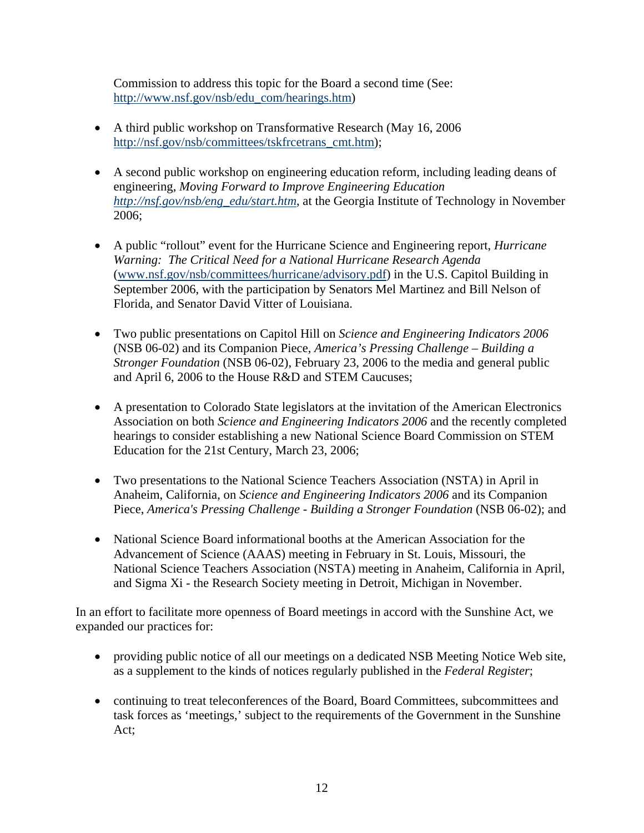Commission to address this topic for the Board a second time (See: http://www.nsf.gov/nsb/edu\_com/hearings.htm)

- A third public workshop on Transformative Research (May 16, 2006) http://nsf.gov/nsb/committees/tskfrcetrans\_cmt.htm);
- A second public workshop on engineering education reform, including leading deans of engineering, *Moving Forward to Improve Engineering Education http://nsf.gov/nsb/eng\_edu/start.htm*, at the Georgia Institute of Technology in November 2006;
- A public "rollout" event for the Hurricane Science and Engineering report, *Hurricane Warning: The Critical Need for a National Hurricane Research Agenda* (www.nsf.gov/nsb/committees/hurricane/advisory.pdf) in the U.S. Capitol Building in September 2006, with the participation by Senators Mel Martinez and Bill Nelson of Florida, and Senator David Vitter of Louisiana.
- Two public presentations on Capitol Hill on *Science and Engineering Indicators 2006* (NSB 06-02) and its Companion Piece, *America's Pressing Challenge – Building a Stronger Foundation* (NSB 06-02), February 23, 2006 to the media and general public and April 6, 2006 to the House R&D and STEM Caucuses;
- A presentation to Colorado State legislators at the invitation of the American Electronics Association on both *Science and Engineering Indicators 2006* and the recently completed hearings to consider establishing a new National Science Board Commission on STEM Education for the 21st Century, March 23, 2006;
- Two presentations to the National Science Teachers Association (NSTA) in April in Anaheim, California, on *Science and Engineering Indicators 2006* and its Companion Piece, *America's Pressing Challenge - Building a Stronger Foundation* (NSB 06-02); and
- National Science Board informational booths at the American Association for the Advancement of Science (AAAS) meeting in February in St. Louis, Missouri, the National Science Teachers Association (NSTA) meeting in Anaheim, California in April, and Sigma Xi - the Research Society meeting in Detroit, Michigan in November.

In an effort to facilitate more openness of Board meetings in accord with the Sunshine Act, we expanded our practices for:

- providing public notice of all our meetings on a dedicated NSB Meeting Notice Web site, as a supplement to the kinds of notices regularly published in the *Federal Register*;
- continuing to treat teleconferences of the Board, Board Committees, subcommittees and task forces as 'meetings,' subject to the requirements of the Government in the Sunshine Act;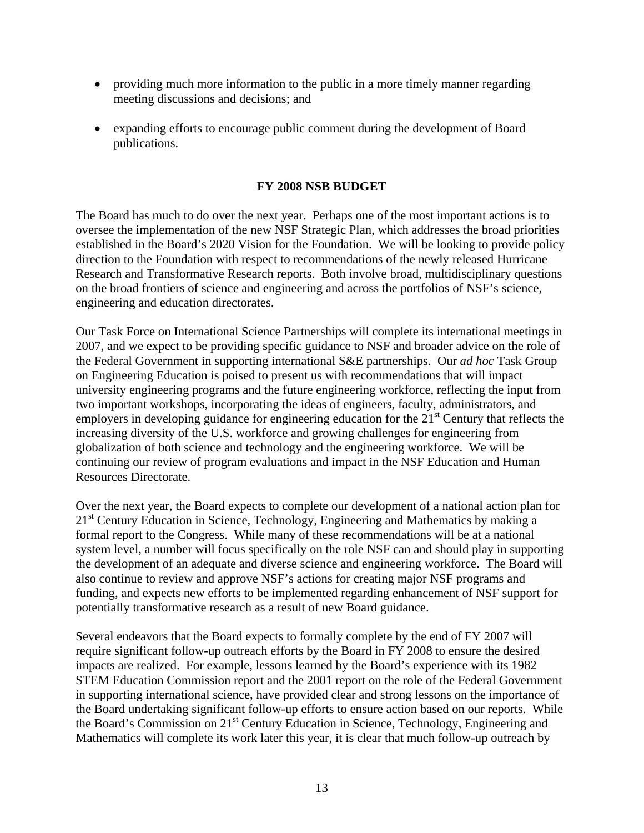- providing much more information to the public in a more timely manner regarding meeting discussions and decisions; and
- expanding efforts to encourage public comment during the development of Board publications.

## **FY 2008 NSB BUDGET**

The Board has much to do over the next year. Perhaps one of the most important actions is to oversee the implementation of the new NSF Strategic Plan, which addresses the broad priorities established in the Board's 2020 Vision for the Foundation. We will be looking to provide policy direction to the Foundation with respect to recommendations of the newly released Hurricane Research and Transformative Research reports. Both involve broad, multidisciplinary questions on the broad frontiers of science and engineering and across the portfolios of NSF's science, engineering and education directorates.

Our Task Force on International Science Partnerships will complete its international meetings in 2007, and we expect to be providing specific guidance to NSF and broader advice on the role of the Federal Government in supporting international S&E partnerships. Our *ad hoc* Task Group on Engineering Education is poised to present us with recommendations that will impact university engineering programs and the future engineering workforce, reflecting the input from two important workshops, incorporating the ideas of engineers, faculty, administrators, and employers in developing guidance for engineering education for the  $21<sup>st</sup>$  Century that reflects the increasing diversity of the U.S. workforce and growing challenges for engineering from globalization of both science and technology and the engineering workforce. We will be continuing our review of program evaluations and impact in the NSF Education and Human Resources Directorate.

Over the next year, the Board expects to complete our development of a national action plan for 21<sup>st</sup> Century Education in Science, Technology, Engineering and Mathematics by making a formal report to the Congress. While many of these recommendations will be at a national system level, a number will focus specifically on the role NSF can and should play in supporting the development of an adequate and diverse science and engineering workforce. The Board will also continue to review and approve NSF's actions for creating major NSF programs and funding, and expects new efforts to be implemented regarding enhancement of NSF support for potentially transformative research as a result of new Board guidance.

Several endeavors that the Board expects to formally complete by the end of FY 2007 will require significant follow-up outreach efforts by the Board in FY 2008 to ensure the desired impacts are realized. For example, lessons learned by the Board's experience with its 1982 STEM Education Commission report and the 2001 report on the role of the Federal Government in supporting international science, have provided clear and strong lessons on the importance of the Board undertaking significant follow-up efforts to ensure action based on our reports. While the Board's Commission on 21st Century Education in Science, Technology, Engineering and Mathematics will complete its work later this year, it is clear that much follow-up outreach by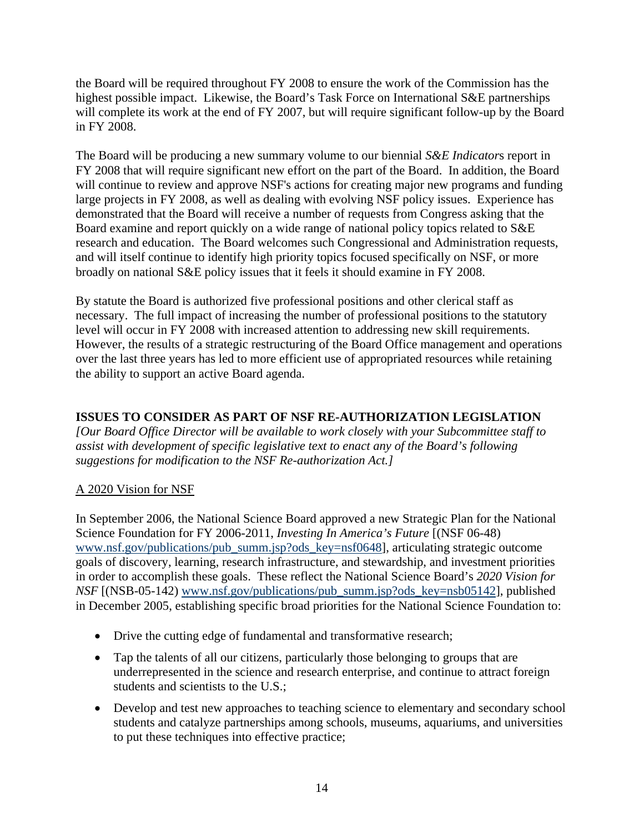the Board will be required throughout FY 2008 to ensure the work of the Commission has the highest possible impact. Likewise, the Board's Task Force on International S&E partnerships will complete its work at the end of FY 2007, but will require significant follow-up by the Board in FY 2008.

The Board will be producing a new summary volume to our biennial *S&E Indicator*s report in FY 2008 that will require significant new effort on the part of the Board. In addition, the Board will continue to review and approve NSF's actions for creating major new programs and funding large projects in FY 2008, as well as dealing with evolving NSF policy issues. Experience has demonstrated that the Board will receive a number of requests from Congress asking that the Board examine and report quickly on a wide range of national policy topics related to S&E research and education. The Board welcomes such Congressional and Administration requests, and will itself continue to identify high priority topics focused specifically on NSF, or more broadly on national S&E policy issues that it feels it should examine in FY 2008.

By statute the Board is authorized five professional positions and other clerical staff as necessary. The full impact of increasing the number of professional positions to the statutory level will occur in FY 2008 with increased attention to addressing new skill requirements. However, the results of a strategic restructuring of the Board Office management and operations over the last three years has led to more efficient use of appropriated resources while retaining the ability to support an active Board agenda.

# **ISSUES TO CONSIDER AS PART OF NSF RE-AUTHORIZATION LEGISLATION**

*[Our Board Office Director will be available to work closely with your Subcommittee staff to assist with development of specific legislative text to enact any of the Board's following suggestions for modification to the NSF Re-authorization Act.]* 

# A 2020 Vision for NSF

In September 2006, the National Science Board approved a new Strategic Plan for the National Science Foundation for FY 2006-2011, *Investing In America's Future* [(NSF 06-48) www.nsf.gov/publications/pub\_summ.jsp?ods\_key=nsf0648], articulating strategic outcome goals of discovery, learning, research infrastructure, and stewardship, and investment priorities in order to accomplish these goals. These reflect the National Science Board's *2020 Vision for NSF* [(NSB-05-142) www.nsf.gov/publications/pub\_summ.jsp?ods\_key=nsb05142], published in December 2005, establishing specific broad priorities for the National Science Foundation to:

- Drive the cutting edge of fundamental and transformative research;
- Tap the talents of all our citizens, particularly those belonging to groups that are underrepresented in the science and research enterprise, and continue to attract foreign students and scientists to the U.S.;
- Develop and test new approaches to teaching science to elementary and secondary school students and catalyze partnerships among schools, museums, aquariums, and universities to put these techniques into effective practice;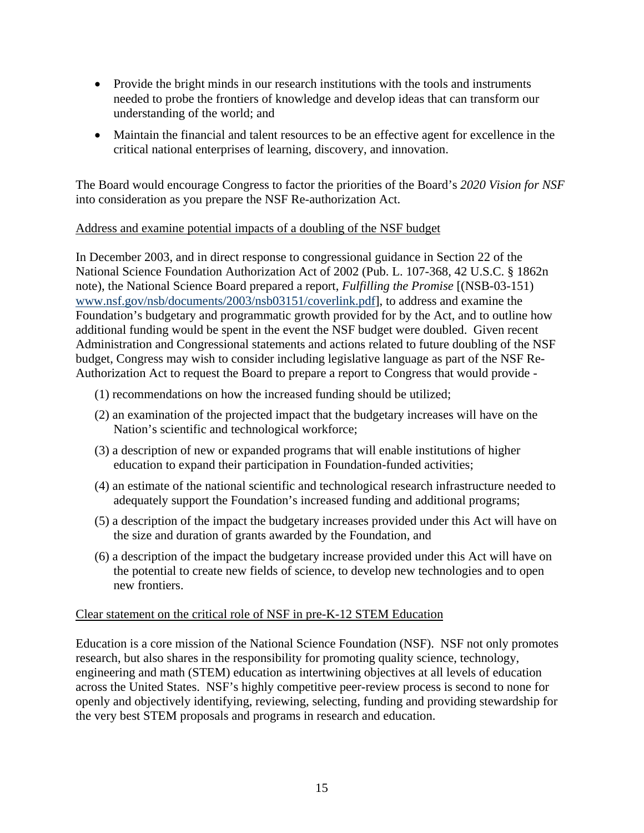- Provide the bright minds in our research institutions with the tools and instruments needed to probe the frontiers of knowledge and develop ideas that can transform our understanding of the world; and
- Maintain the financial and talent resources to be an effective agent for excellence in the critical national enterprises of learning, discovery, and innovation.

The Board would encourage Congress to factor the priorities of the Board's *2020 Vision for NSF*  into consideration as you prepare the NSF Re-authorization Act.

## Address and examine potential impacts of a doubling of the NSF budget

In December 2003, and in direct response to congressional guidance in Section 22 of the National Science Foundation Authorization Act of 2002 (Pub. L. 107-368, 42 U.S.C. § 1862n note), the National Science Board prepared a report, *Fulfilling the Promise* [(NSB-03-151) www.nsf.gov/nsb/documents/2003/nsb03151/coverlink.pdf], to address and examine the Foundation's budgetary and programmatic growth provided for by the Act, and to outline how additional funding would be spent in the event the NSF budget were doubled. Given recent Administration and Congressional statements and actions related to future doubling of the NSF budget, Congress may wish to consider including legislative language as part of the NSF Re-Authorization Act to request the Board to prepare a report to Congress that would provide -

- (1) recommendations on how the increased funding should be utilized;
- (2) an examination of the projected impact that the budgetary increases will have on the Nation's scientific and technological workforce;
- (3) a description of new or expanded programs that will enable institutions of higher education to expand their participation in Foundation-funded activities;
- (4) an estimate of the national scientific and technological research infrastructure needed to adequately support the Foundation's increased funding and additional programs;
- (5) a description of the impact the budgetary increases provided under this Act will have on the size and duration of grants awarded by the Foundation, and
- (6) a description of the impact the budgetary increase provided under this Act will have on the potential to create new fields of science, to develop new technologies and to open new frontiers.

## Clear statement on the critical role of NSF in pre-K-12 STEM Education

Education is a core mission of the National Science Foundation (NSF). NSF not only promotes research, but also shares in the responsibility for promoting quality science, technology, engineering and math (STEM) education as intertwining objectives at all levels of education across the United States. NSF's highly competitive peer-review process is second to none for openly and objectively identifying, reviewing, selecting, funding and providing stewardship for the very best STEM proposals and programs in research and education.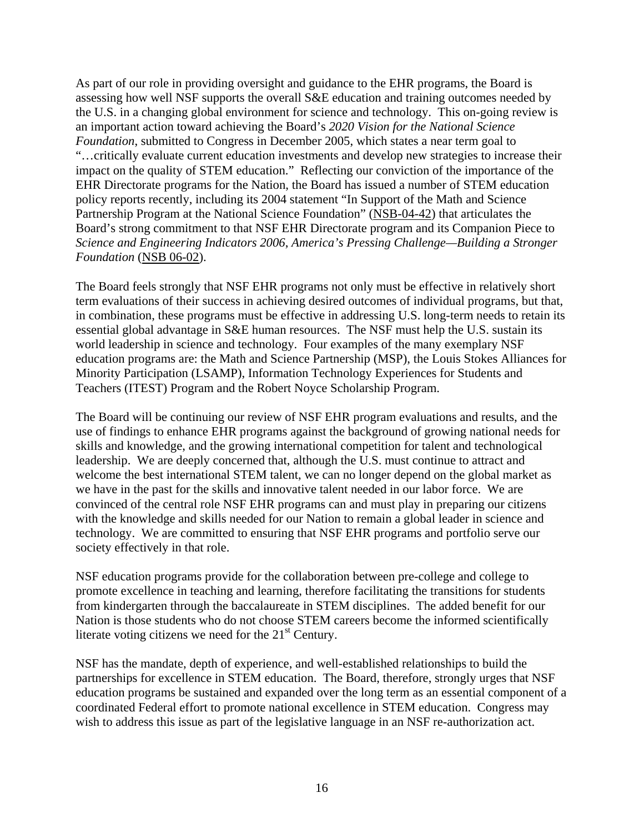As part of our role in providing oversight and guidance to the EHR programs, the Board is assessing how well NSF supports the overall S&E education and training outcomes needed by the U.S. in a changing global environment for science and technology. This on-going review is an important action toward achieving the Board's *2020 Vision for the National Science Foundation*, submitted to Congress in December 2005, which states a near term goal to "…critically evaluate current education investments and develop new strategies to increase their impact on the quality of STEM education." Reflecting our conviction of the importance of the EHR Directorate programs for the Nation, the Board has issued a number of STEM education policy reports recently, including its 2004 statement "In Support of the Math and Science Partnership Program at the National Science Foundation" (NSB-04-42) that articulates the Board's strong commitment to that NSF EHR Directorate program and its Companion Piece to *Science and Engineering Indicators 2006*, *America's Pressing Challenge—Building a Stronger Foundation* (NSB 06-02).

The Board feels strongly that NSF EHR programs not only must be effective in relatively short term evaluations of their success in achieving desired outcomes of individual programs, but that, in combination, these programs must be effective in addressing U.S. long-term needs to retain its essential global advantage in S&E human resources. The NSF must help the U.S. sustain its world leadership in science and technology. Four examples of the many exemplary NSF education programs are: the Math and Science Partnership (MSP), the Louis Stokes Alliances for Minority Participation (LSAMP), Information Technology Experiences for Students and Teachers (ITEST) Program and the Robert Noyce Scholarship Program.

The Board will be continuing our review of NSF EHR program evaluations and results, and the use of findings to enhance EHR programs against the background of growing national needs for skills and knowledge, and the growing international competition for talent and technological leadership. We are deeply concerned that, although the U.S. must continue to attract and welcome the best international STEM talent, we can no longer depend on the global market as we have in the past for the skills and innovative talent needed in our labor force. We are convinced of the central role NSF EHR programs can and must play in preparing our citizens with the knowledge and skills needed for our Nation to remain a global leader in science and technology. We are committed to ensuring that NSF EHR programs and portfolio serve our society effectively in that role.

NSF education programs provide for the collaboration between pre-college and college to promote excellence in teaching and learning, therefore facilitating the transitions for students from kindergarten through the baccalaureate in STEM disciplines. The added benefit for our Nation is those students who do not choose STEM careers become the informed scientifically literate voting citizens we need for the  $21<sup>st</sup>$  Century.

NSF has the mandate, depth of experience, and well-established relationships to build the partnerships for excellence in STEM education. The Board, therefore, strongly urges that NSF education programs be sustained and expanded over the long term as an essential component of a coordinated Federal effort to promote national excellence in STEM education. Congress may wish to address this issue as part of the legislative language in an NSF re-authorization act.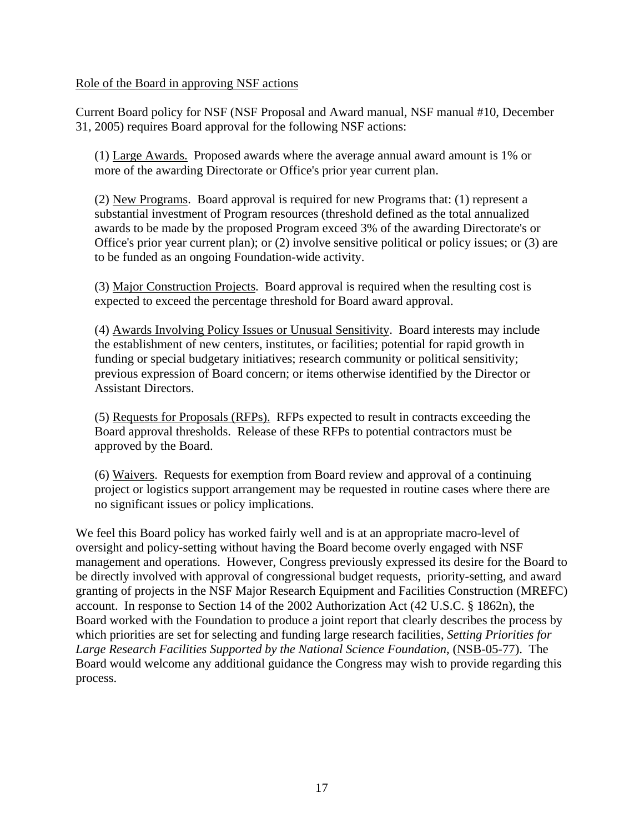## Role of the Board in approving NSF actions

Current Board policy for NSF (NSF Proposal and Award manual, NSF manual #10, December 31, 2005) requires Board approval for the following NSF actions:

(1) Large Awards. Proposed awards where the average annual award amount is 1% or more of the awarding Directorate or Office's prior year current plan.

(2) New Programs. Board approval is required for new Programs that: (1) represent a substantial investment of Program resources (threshold defined as the total annualized awards to be made by the proposed Program exceed 3% of the awarding Directorate's or Office's prior year current plan); or (2) involve sensitive political or policy issues; or (3) are to be funded as an ongoing Foundation-wide activity.

(3) Major Construction Projects. Board approval is required when the resulting cost is expected to exceed the percentage threshold for Board award approval.

(4) Awards Involving Policy Issues or Unusual Sensitivity. Board interests may include the establishment of new centers, institutes, or facilities; potential for rapid growth in funding or special budgetary initiatives; research community or political sensitivity; previous expression of Board concern; or items otherwise identified by the Director or Assistant Directors.

(5) Requests for Proposals (RFPs). RFPs expected to result in contracts exceeding the Board approval thresholds. Release of these RFPs to potential contractors must be approved by the Board.

(6) Waivers. Requests for exemption from Board review and approval of a continuing project or logistics support arrangement may be requested in routine cases where there are no significant issues or policy implications.

We feel this Board policy has worked fairly well and is at an appropriate macro-level of oversight and policy-setting without having the Board become overly engaged with NSF management and operations. However, Congress previously expressed its desire for the Board to be directly involved with approval of congressional budget requests, priority-setting, and award granting of projects in the NSF Major Research Equipment and Facilities Construction (MREFC) account. In response to Section 14 of the 2002 Authorization Act (42 U.S.C. § 1862n), the Board worked with the Foundation to produce a joint report that clearly describes the process by which priorities are set for selecting and funding large research facilities, *Setting Priorities for Large Research Facilities Supported by the National Science Foundation*, (NSB-05-77). The Board would welcome any additional guidance the Congress may wish to provide regarding this process.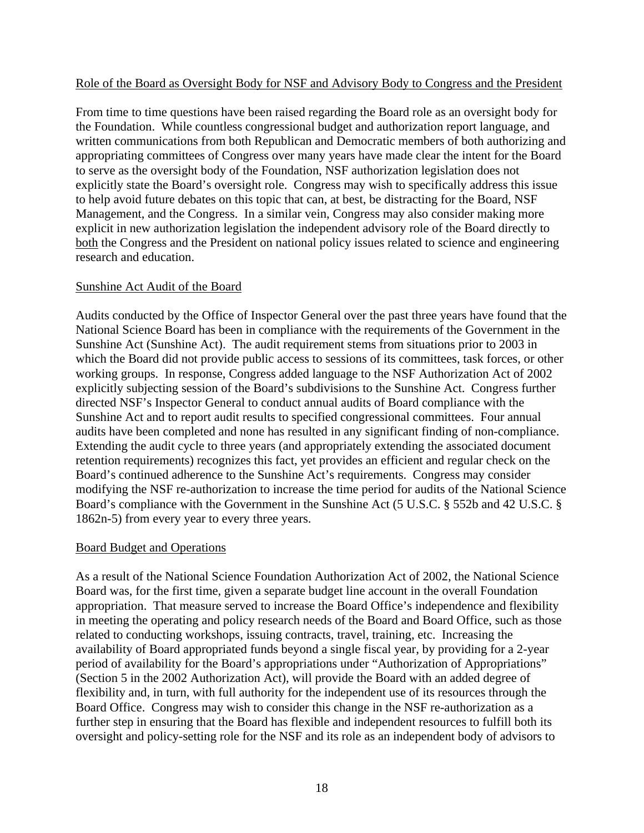## Role of the Board as Oversight Body for NSF and Advisory Body to Congress and the President

From time to time questions have been raised regarding the Board role as an oversight body for the Foundation. While countless congressional budget and authorization report language, and written communications from both Republican and Democratic members of both authorizing and appropriating committees of Congress over many years have made clear the intent for the Board to serve as the oversight body of the Foundation, NSF authorization legislation does not explicitly state the Board's oversight role. Congress may wish to specifically address this issue to help avoid future debates on this topic that can, at best, be distracting for the Board, NSF Management, and the Congress. In a similar vein, Congress may also consider making more explicit in new authorization legislation the independent advisory role of the Board directly to both the Congress and the President on national policy issues related to science and engineering research and education.

# Sunshine Act Audit of the Board

Audits conducted by the Office of Inspector General over the past three years have found that the National Science Board has been in compliance with the requirements of the Government in the Sunshine Act (Sunshine Act). The audit requirement stems from situations prior to 2003 in which the Board did not provide public access to sessions of its committees, task forces, or other working groups. In response, Congress added language to the NSF Authorization Act of 2002 explicitly subjecting session of the Board's subdivisions to the Sunshine Act. Congress further directed NSF's Inspector General to conduct annual audits of Board compliance with the Sunshine Act and to report audit results to specified congressional committees. Four annual audits have been completed and none has resulted in any significant finding of non-compliance. Extending the audit cycle to three years (and appropriately extending the associated document retention requirements) recognizes this fact, yet provides an efficient and regular check on the Board's continued adherence to the Sunshine Act's requirements. Congress may consider modifying the NSF re-authorization to increase the time period for audits of the National Science Board's compliance with the Government in the Sunshine Act (5 U.S.C. § 552b and 42 U.S.C. § 1862n-5) from every year to every three years.

## Board Budget and Operations

As a result of the National Science Foundation Authorization Act of 2002, the National Science Board was, for the first time, given a separate budget line account in the overall Foundation appropriation. That measure served to increase the Board Office's independence and flexibility in meeting the operating and policy research needs of the Board and Board Office, such as those related to conducting workshops, issuing contracts, travel, training, etc. Increasing the availability of Board appropriated funds beyond a single fiscal year, by providing for a 2-year period of availability for the Board's appropriations under "Authorization of Appropriations" (Section 5 in the 2002 Authorization Act), will provide the Board with an added degree of flexibility and, in turn, with full authority for the independent use of its resources through the Board Office. Congress may wish to consider this change in the NSF re-authorization as a further step in ensuring that the Board has flexible and independent resources to fulfill both its oversight and policy-setting role for the NSF and its role as an independent body of advisors to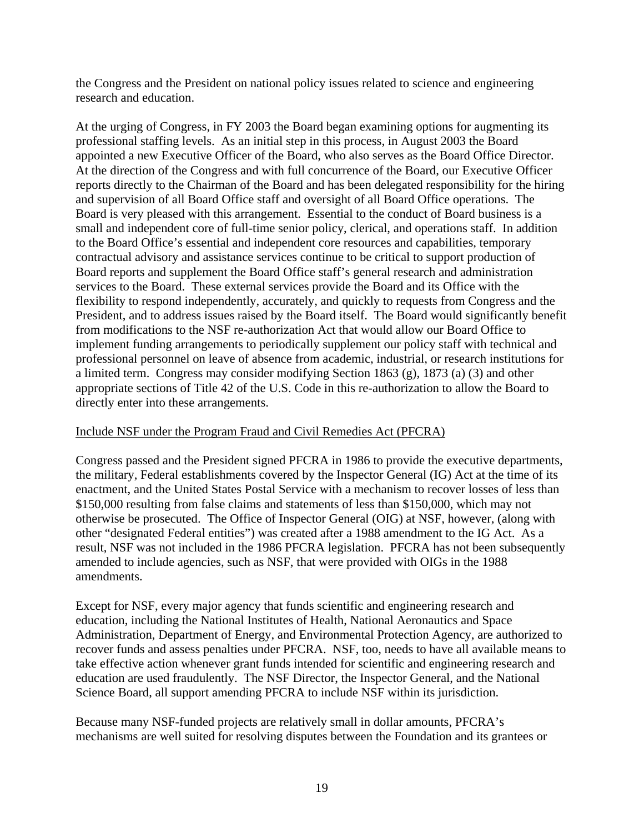the Congress and the President on national policy issues related to science and engineering research and education.

At the urging of Congress, in FY 2003 the Board began examining options for augmenting its professional staffing levels. As an initial step in this process, in August 2003 the Board appointed a new Executive Officer of the Board, who also serves as the Board Office Director. At the direction of the Congress and with full concurrence of the Board, our Executive Officer reports directly to the Chairman of the Board and has been delegated responsibility for the hiring and supervision of all Board Office staff and oversight of all Board Office operations. The Board is very pleased with this arrangement. Essential to the conduct of Board business is a small and independent core of full-time senior policy, clerical, and operations staff. In addition to the Board Office's essential and independent core resources and capabilities, temporary contractual advisory and assistance services continue to be critical to support production of Board reports and supplement the Board Office staff's general research and administration services to the Board. These external services provide the Board and its Office with the flexibility to respond independently, accurately, and quickly to requests from Congress and the President, and to address issues raised by the Board itself. The Board would significantly benefit from modifications to the NSF re-authorization Act that would allow our Board Office to implement funding arrangements to periodically supplement our policy staff with technical and professional personnel on leave of absence from academic, industrial, or research institutions for a limited term. Congress may consider modifying Section 1863 (g), 1873 (a) (3) and other appropriate sections of Title 42 of the U.S. Code in this re-authorization to allow the Board to directly enter into these arrangements.

# Include NSF under the Program Fraud and Civil Remedies Act (PFCRA)

Congress passed and the President signed PFCRA in 1986 to provide the executive departments, the military, Federal establishments covered by the Inspector General (IG) Act at the time of its enactment, and the United States Postal Service with a mechanism to recover losses of less than \$150,000 resulting from false claims and statements of less than \$150,000, which may not otherwise be prosecuted. The Office of Inspector General (OIG) at NSF, however, (along with other "designated Federal entities") was created after a 1988 amendment to the IG Act. As a result, NSF was not included in the 1986 PFCRA legislation. PFCRA has not been subsequently amended to include agencies, such as NSF, that were provided with OIGs in the 1988 amendments.

Except for NSF, every major agency that funds scientific and engineering research and education, including the National Institutes of Health, National Aeronautics and Space Administration, Department of Energy, and Environmental Protection Agency, are authorized to recover funds and assess penalties under PFCRA. NSF, too, needs to have all available means to take effective action whenever grant funds intended for scientific and engineering research and education are used fraudulently. The NSF Director, the Inspector General, and the National Science Board, all support amending PFCRA to include NSF within its jurisdiction.

Because many NSF-funded projects are relatively small in dollar amounts, PFCRA's mechanisms are well suited for resolving disputes between the Foundation and its grantees or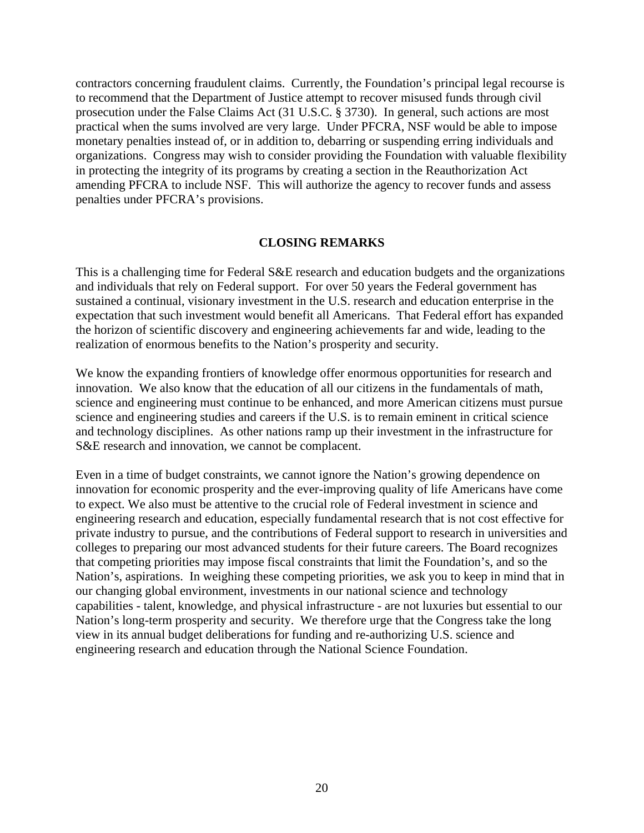contractors concerning fraudulent claims. Currently, the Foundation's principal legal recourse is to recommend that the Department of Justice attempt to recover misused funds through civil prosecution under the False Claims Act (31 U.S.C. § 3730). In general, such actions are most practical when the sums involved are very large. Under PFCRA, NSF would be able to impose monetary penalties instead of, or in addition to, debarring or suspending erring individuals and organizations. Congress may wish to consider providing the Foundation with valuable flexibility in protecting the integrity of its programs by creating a section in the Reauthorization Act amending PFCRA to include NSF. This will authorize the agency to recover funds and assess penalties under PFCRA's provisions.

#### **CLOSING REMARKS**

This is a challenging time for Federal S&E research and education budgets and the organizations and individuals that rely on Federal support. For over 50 years the Federal government has sustained a continual, visionary investment in the U.S. research and education enterprise in the expectation that such investment would benefit all Americans. That Federal effort has expanded the horizon of scientific discovery and engineering achievements far and wide, leading to the realization of enormous benefits to the Nation's prosperity and security.

We know the expanding frontiers of knowledge offer enormous opportunities for research and innovation. We also know that the education of all our citizens in the fundamentals of math, science and engineering must continue to be enhanced, and more American citizens must pursue science and engineering studies and careers if the U.S. is to remain eminent in critical science and technology disciplines. As other nations ramp up their investment in the infrastructure for S&E research and innovation, we cannot be complacent.

Even in a time of budget constraints, we cannot ignore the Nation's growing dependence on innovation for economic prosperity and the ever-improving quality of life Americans have come to expect. We also must be attentive to the crucial role of Federal investment in science and engineering research and education, especially fundamental research that is not cost effective for private industry to pursue, and the contributions of Federal support to research in universities and colleges to preparing our most advanced students for their future careers. The Board recognizes that competing priorities may impose fiscal constraints that limit the Foundation's, and so the Nation's, aspirations. In weighing these competing priorities, we ask you to keep in mind that in our changing global environment, investments in our national science and technology capabilities - talent, knowledge, and physical infrastructure - are not luxuries but essential to our Nation's long-term prosperity and security. We therefore urge that the Congress take the long view in its annual budget deliberations for funding and re-authorizing U.S. science and engineering research and education through the National Science Foundation.